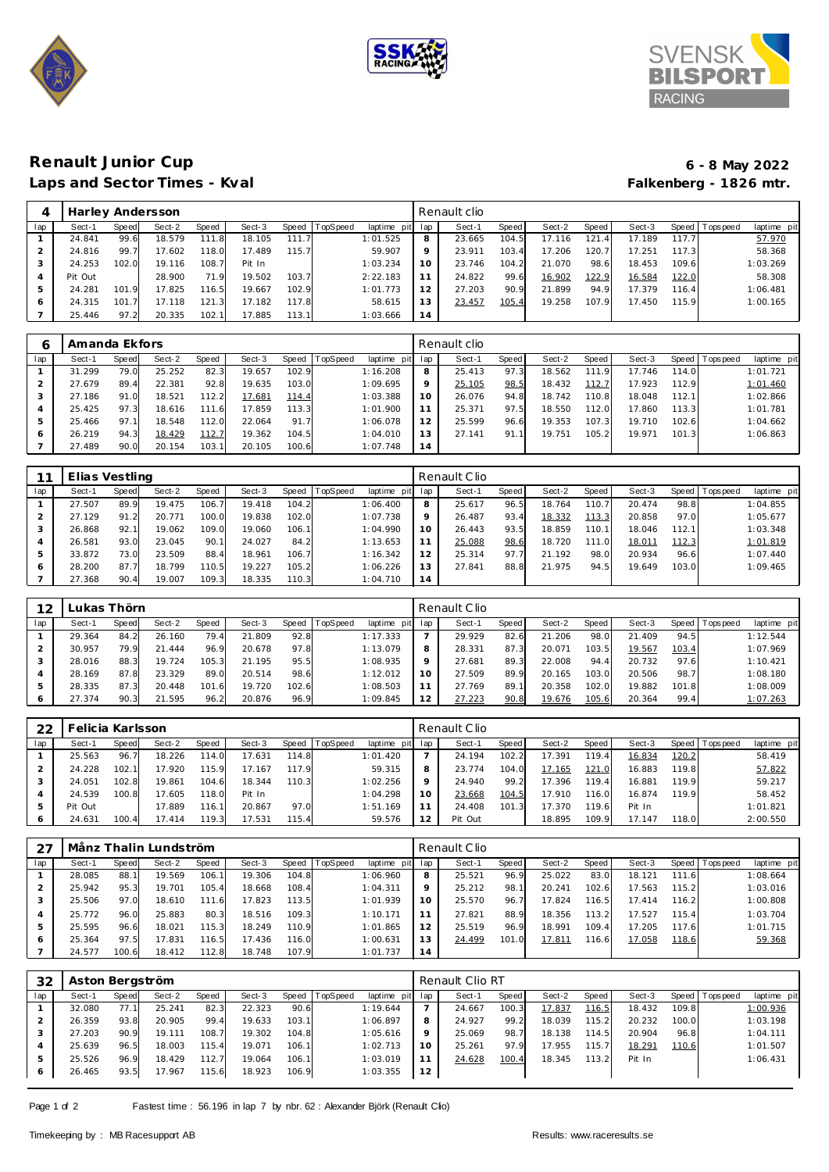





## **Renault Junior Cup 6 - 8 May 2022** Laps and Sector Times - Kval

| 4   | Harley Andersson |       |        |       |        |       |                  |             |     | Renault clio |       |        |        |        |       |                   |             |
|-----|------------------|-------|--------|-------|--------|-------|------------------|-------------|-----|--------------|-------|--------|--------|--------|-------|-------------------|-------------|
| lap | Sect-1           | Speed | Sect-2 | Speed | Sect-3 |       | Speed   TopSpeed | laptime pit | lap | Sect-1       | Speed | Sect-2 | Speed  | Sect-3 |       | Speed   Tops peed | laptime pit |
|     | 24.841           | 99.6  | 18.579 | 111.8 | 18.105 | 111.7 |                  | 1:01.525    | 8   | 23.665       | 104.5 | 17.116 | 121.41 | 17.189 | 117.7 |                   | 57.970      |
|     | 24.816           | 99.7  | 17.602 | 118.0 | 17.489 | 115.7 |                  | 59.907      | Q   | 23.911       | 103.4 | 17.206 | 120.7  | 17.251 | 117.3 |                   | 58.368      |
| 3   | 24.253           | 102.0 | 19.116 | 108.7 | Pit In |       |                  | 1:03.234    | 10  | 23.746       | 104.2 | 21.070 | 98.6   | 18.453 | 109.6 |                   | 1:03.269    |
|     | Pit Out          |       | 28.900 | 71.9  | 19.502 | 103.7 |                  | 2:22.183    | 11  | 24.822       | 99.6  | 16.902 | 122.9  | 16.584 | 122.0 |                   | 58.308      |
| 5   | 24.281           | 101.9 | 17.825 | 116.5 | 19.667 | 102.9 |                  | 1:01.773    | 12  | 27.203       | 90.9  | 21.899 | 94.9   | 17.379 | 116.4 |                   | 1:06.481    |
| 6   | 24.315           | 101.  | 17.118 | 121.3 | 17.182 | 117.8 |                  | 58.615      | 13  | 23.457       | 105.4 | 19.258 | 107.9  | 17.450 | 115.9 |                   | 1:00.165    |
|     | 25.446           | 97.2  | 20.335 | 102.1 | 17.885 | 113.1 |                  | 1:03.666    | 14  |              |       |        |        |        |       |                   |             |

|     | Amanda Ekfors |              |        |       |        |       |          |             |     | Renault clio |       |        |       |        |       |                   |             |
|-----|---------------|--------------|--------|-------|--------|-------|----------|-------------|-----|--------------|-------|--------|-------|--------|-------|-------------------|-------------|
| lap | Sect-1        | <b>Speed</b> | Sect-2 | Speed | Sect-3 | Speed | TopSpeed | laptime pit | lap | Sect-1       | Speed | Sect-2 | Speed | Sect-3 |       | Speed   Tops peed | laptime pit |
|     | 31.299        | 79.0         | 25.252 | 82.3  | 19.657 | 102.9 |          | 1:16.208    | 8   | 25.413       | 97.3  | 18.562 | 111.9 | 17.746 | 114.0 |                   | 1:01.721    |
|     | 27.679        | 89.4         | 22.381 | 92.8  | 19.635 | 103.0 |          | 1:09.695    | 9   | 25.105       | 98.5  | 18.432 | 112.7 | 17.923 | 112.9 |                   | 1:01.460    |
|     | 27.186        | 91.0         | 18.521 | 112.2 | 17.681 | 114.4 |          | 1:03.388    | 10  | 26.076       | 94.8  | 18.742 | 110.8 | 18.048 | 112.1 |                   | 1:02.866    |
| 4   | 25.425        | 97.3         | 18.616 | 111.6 | 17.859 | 113.3 |          | 1:01.900    |     | 25.371       | 97.5  | 18.550 | 112.0 | 17.860 | 113.3 |                   | 1:01.781    |
| 5   | 25.466        | 97.1         | 18.548 | 112.0 | 22.064 | 91.7  |          | 1:06.078    | 12  | 25.599       | 96.6  | 19.353 | 107.3 | 19.710 | 102.6 |                   | 1:04.662    |
| 6   | 26.219        | 94.3         | 18.429 | 112.7 | 19.362 | 104.5 |          | 1:04.010    | 13  | 27.141       | 91.1  | 19.751 | 105.2 | 19.971 | 101.3 |                   | 1:06.863    |
|     | 27.489        | 90.0         | 20.154 | 103.  | 20.105 | 100.6 |          | 1:07.748    | 14  |              |       |        |       |        |       |                   |             |

| 11           | Elias Vestling |       |        |       |        |       |          |             |         | Renault Clio |       |        |       |        |       |           |             |
|--------------|----------------|-------|--------|-------|--------|-------|----------|-------------|---------|--------------|-------|--------|-------|--------|-------|-----------|-------------|
| lap          | Sect-1         | Speed | Sect-2 | Speed | Sect-3 | Speed | TopSpeed | laptime pit | lap     | Sect-1       | Speed | Sect-2 | Speed | Sect-3 | Speed | Tops peed | laptime pit |
|              | 27.507         | 89.9  | 19.475 | 106.7 | 19.418 | 104.2 |          | 1:06.400    | 8       | 25.617       | 96.5  | 18.764 | 110.7 | 20.474 | 98.8  |           | 1:04.855    |
|              | 27.129         | 91.2  | 20.771 | 100.0 | 19.838 | 102.0 |          | 1:07.738    | $\circ$ | 26.487       | 93.4  | 18.332 | 113.3 | 20.858 | 97.0  |           | 1:05.677    |
| 3            | 26.868         | 92.1  | 19.062 | 109.0 | 19.060 | 106.1 |          | 1:04.990    | 10      | 26.443       | 93.5  | 18.859 | 110.1 | 18.046 | 112.1 |           | 1:03.348    |
| 4            | 26.581         | 93.0  | 23.045 | 90.1  | 24.027 | 84.2  |          | 1:13.653    |         | 25.088       | 98.6  | 18.720 | 111.0 | 18.011 | 112.3 |           | 1:01.819    |
| 5            | 33.872         | 73.0  | 23.509 | 88.4  | 18.961 | 106.7 |          | 1:16.342    | 12      | 25.314       | 97.7  | 21.192 | 98.0  | 20.934 | 96.6  |           | 1:07.440    |
| <sup>6</sup> | 28.200         | 87.7  | 18.799 | 110.5 | 19.227 | 105.2 |          | 1:06.226    | Ε.      | 27.841       | 88.8  | 21.975 | 94.5  | 19.649 | 103.0 |           | 1:09.465    |
|              | 27.368         | 90.4  | 19.007 | 109.3 | 18.335 | 110.3 |          | 1:04.710    | 14      |              |       |        |       |        |       |           |             |

| 12  |        | ukas Thörn. |        |       |        |       |                 |             |     | Renault Clio |       |        |       |            |       |           |             |
|-----|--------|-------------|--------|-------|--------|-------|-----------------|-------------|-----|--------------|-------|--------|-------|------------|-------|-----------|-------------|
| lap | Sect-1 | Speed       | Sect-2 | Speed | Sect-3 | Speed | <b>TopSpeed</b> | laptime pit | lap | Sect-1       | Speed | Sect-2 | Speed | Sect-3     | Speed | Tops peed | laptime pit |
|     | 29.364 | 84.2        | 26.160 | 79.4  | 21.809 | 92.8  |                 | 1:17.333    |     | 29.929       | 82.6  | 21.206 | 98.0  | .409<br>21 | 94.5  |           | 1:12.544    |
|     | 30.957 | 79.9        | 21.444 | 96.9  | 20.678 | 97.8  |                 | 1:13.079    | 8   | 28.331       | 87.3  | 20.071 | 103.5 | 19.567     | 103.4 |           | 1:07.969    |
|     | 28.016 | 88.3        | 19.724 | 105.3 | 21.195 | 95.5  |                 | 1:08.935    |     | 27.681       | 89.3  | 22.008 | 94.4  | 20.732     | 97.6  |           | 1:10.421    |
|     | 28.169 | 87.8        | 23.329 | 89.0  | 20.514 | 98.6  |                 | 1:12.012    |     | 27.509       | 89.9  | 20.165 | 103.0 | 20.506     | 98.7  |           | 1:08.180    |
|     | 28.335 | 87.3        | 20.448 | 101.6 | 19.720 | 102.6 |                 | 1:08.503    |     | 27.769       | 89.1  | 20.358 | 102.0 | 19.882     | 101.8 |           | 1:08.009    |
|     | 27.374 | 90.3        | 21.595 | 96.2  | 20.876 | 96.9  |                 | 1:09.845    | 2   | 27.223       | 90.8  | 19.676 | 105.6 | 20.364     | 99.4  |           | 1:07.263    |

| 22  |         | Felicia Karlsson |        |       |        |       |          |             |     | Renault Clio |       |        |       |        |       |                 |                |
|-----|---------|------------------|--------|-------|--------|-------|----------|-------------|-----|--------------|-------|--------|-------|--------|-------|-----------------|----------------|
| lap | Sect-1  | Speed            | Sect-2 | Speed | Sect-3 | Speed | TopSpeed | laptime pit | lap | Sect-1       | Speed | Sect-2 | Speed | Sect-3 |       | Speed Tops peed | laptime<br>pit |
|     | 25.563  | 96.              | 18.226 | 114.0 | 17.631 | 114.8 |          | 1:01.420    |     | 24.194       | 102.2 | 17.391 | 119.4 | 16.834 | 120.2 |                 | 58.419         |
|     | 24.228  | 102.1            | 17.920 | 115.9 | 17.167 | 117.9 |          | 59.315      | 8   | 23.774       | 104.0 | 17.165 | 121.0 | 16.883 | 119.8 |                 | 57.822         |
|     | 24.051  | 102.8            | 19.861 | 104.6 | 18.344 | 110.3 |          | 1:02.256    | Q   | 24.940       | 99.2  | 17.396 | 119.4 | 16.881 | 119.9 |                 | 59.217         |
|     | 24.539  | 100.8            | 17.605 | 118.0 | Pit In |       |          | 1:04.298    | 10  | 23.668       | 104.5 | 17.910 | 116.0 | 16.874 | 119.9 |                 | 58.452         |
|     | Pit Out |                  | 17.889 | 116.1 | 20.867 | 97.0  |          | 1:51.169    |     | 24.408       | 101.3 | 17.370 | 119.6 | Pit In |       |                 | 1:01.821       |
|     | 24.631  | 100.41           | 17.414 | 119.3 | 17.531 | 115.4 |          | 59.576      | 12  | Pit Out      |       | 18.895 | 109.9 | 17.147 | 118.0 |                 | 2:00.550       |

| 27  |        |       | Månz Thalin Lundström |       |        |       |          |             |     | Renault Clio |       |        |       |        |             |                 |             |
|-----|--------|-------|-----------------------|-------|--------|-------|----------|-------------|-----|--------------|-------|--------|-------|--------|-------------|-----------------|-------------|
| lap | Sect-1 | Speed | Sect-2                | Speed | Sect-3 | Speed | TopSpeed | laptime pit | lap | Sect-1       | Speed | Sect-2 | Speed | Sect-3 |             | Speed Tops peed | laptime pit |
|     | 28.085 | 88    | 19.569                | 106.1 | 19.306 | 104.8 |          | 1:06.960    | 8   | 25.521       | 96.9  | 25.022 | 83.0  | 18.121 | 111<br>$-6$ |                 | 1:08.664    |
|     | 25.942 | 95.3  | 19.701                | 105.4 | 18.668 | 108.4 |          | 1:04.311    | Q   | 25.212       | 98.1  | 20.241 | 102.6 | 17.563 | 115.2       |                 | 1:03.016    |
|     | 25.506 | 97.0  | 18.610                | 111.6 | 17.823 | 113.5 |          | 1:01.939    | 10  | 25.570       | 96.7  | 17.824 | 116.5 | 17.414 | 116.2       |                 | 1:00.808    |
|     | 25.772 | 96.0  | 25.883                | 80.3  | 18.516 | 109.3 |          | 1:10.171    |     | 27.821       | 88.9  | 18.356 | 113.2 | 17.527 | 115.4       |                 | 1:03.704    |
| 5   | 25.595 | 96.6  | 18.021                | 115.3 | 18.249 | 110.9 |          | 1:01.865    | 12  | 25.519       | 96.9  | 18.991 | 109.4 | 17.205 | 117.6       |                 | 1:01.715    |
| 6   | 25.364 | 97.5  | 17.831                | 116.5 | 17.436 | 116.0 |          | 1:00.631    | 3   | 24.499       | 101.0 | 17.811 | 116.6 | 17.058 | 118.6       |                 | 59.368      |
|     | 24.577 | 100.6 | 18.412                | 112.8 | 18.748 | 107.9 |          | 1:01.737    | 14  |              |       |        |       |        |             |                 |             |

| 32  | Aston Bergström |       |        |       |        |         |                 |                 |    | Renault Clio RT |       |        |       |        |       |                 |             |
|-----|-----------------|-------|--------|-------|--------|---------|-----------------|-----------------|----|-----------------|-------|--------|-------|--------|-------|-----------------|-------------|
| lap | Sect-1          | Speed | Sect-2 | Speed | Sect-3 | Speed 1 | <b>TopSpeed</b> | laptime pit lap |    | Sect-1          | Speed | Sect-2 | Speed | Sect-3 |       | Speed Tops peed | laptime pit |
|     | 32.080          | 77.1  | 25.241 | 82.3  | 22.323 | 90.6    |                 | 1:19.644        |    | 24.667          | 100.3 | 17.837 | 116.5 | 18.432 | 109.8 |                 | 1:00.936    |
|     | 26.359          | 93.8  | 20.905 | 99.4  | 19.633 | 103.1   |                 | 1:06.897        |    | 24.927          | 99.2  | 18.039 | 115.2 | 20.232 | 100.0 |                 | 1:03.198    |
|     | 27.203          | 90.9  | 19.111 | 108.7 | 19.302 | 104.8   |                 | 1:05.616        |    | 25.069          | 98.7  | 18.138 | 114.5 | 20.904 | 96.8  |                 | 1:04.111    |
|     | 25.639          | 96.5  | 18.003 | 115.4 | 19.071 | 106.1   |                 | 1:02.713        |    | 25.261          | 97.9  | 17.955 | 115.7 | 18.291 | 110.6 |                 | 1:01.507    |
|     | 25.526          | 96.9  | 18.429 | 112.7 | 19.064 | 106.1   |                 | 1:03.019        |    | 24.628          | 100.4 | 18.345 | 113.2 | Pit In |       |                 | 1:06.431    |
|     | 26.465          | 93.5  | 17.967 | 115.6 | 18.923 | 106.9   |                 | 1:03.355        | 12 |                 |       |        |       |        |       |                 |             |

Page 1 of 2 Fastest time : 56.196 in lap 7 by nbr. 62 : Alexander Björk (Renault Clio)